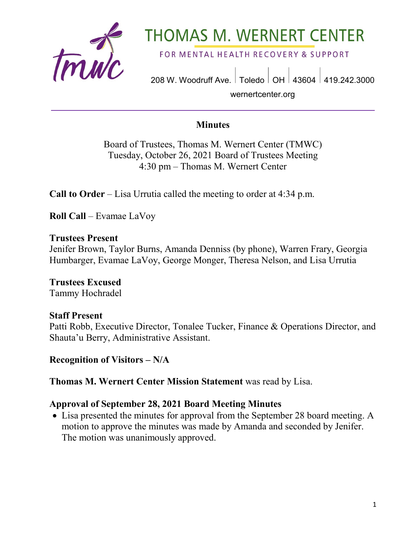

# **THOMAS M. WERNERT CENTER**

FOR MENTAL HEALTH RECOVERY & SUPPORT

208 W. Woodruff Ave. | Toledo | OH | 43604 | 419.242.3000 wernertcenter.org

#### **Minutes**

Board of Trustees, Thomas M. Wernert Center (TMWC) Tuesday, October 26, 2021 Board of Trustees Meeting 4:30 pm – Thomas M. Wernert Center

**Call to Order** – Lisa Urrutia called the meeting to order at 4:34 p.m.

**Roll Call** – Evamae LaVoy

#### **Trustees Present**

Jenifer Brown, Taylor Burns, Amanda Denniss (by phone), Warren Frary, Georgia Humbarger, Evamae LaVoy, George Monger, Theresa Nelson, and Lisa Urrutia

**Trustees Excused** Tammy Hochradel

#### **Staff Present**

Patti Robb, Executive Director, Tonalee Tucker, Finance & Operations Director, and Shauta'u Berry, Administrative Assistant.

**Recognition of Visitors – N/A**

**Thomas M. Wernert Center Mission Statement** was read by Lisa.

#### **Approval of September 28, 2021 Board Meeting Minutes**

• Lisa presented the minutes for approval from the September 28 board meeting. A motion to approve the minutes was made by Amanda and seconded by Jenifer. The motion was unanimously approved.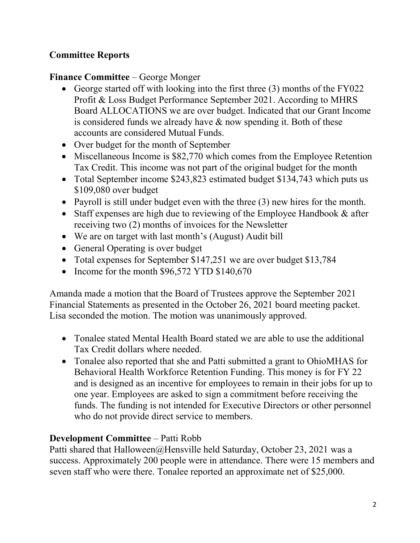# **Committee Reports**

# **Finance Committee** – George Monger

- George started off with looking into the first three (3) months of the FY022 Profit & Loss Budget Performance September 2021. According to MHRS Board ALLOCATIONS we are over budget. Indicated that our Grant Income is considered funds we already have & now spending it. Both of these accounts are considered Mutual Funds.
- Over budget for the month of September
- Miscellaneous Income is \$82,770 which comes from the Employee Retention Tax Credit. This income was not part of the original budget for the month
- Total September income \$243,823 estimated budget \$134,743 which puts us \$109,080 over budget
- Payroll is still under budget even with the three (3) new hires for the month.
- Staff expenses are high due to reviewing of the Employee Handbook & after receiving two (2) months of invoices for the Newsletter
- We are on target with last month's (August) Audit bill
- General Operating is over budget
- Total expenses for September \$147,251 we are over budget \$13,784
- Income for the month \$96,572 YTD \$140,670

Amanda made a motion that the Board of Trustees approve the September 2021 Financial Statements as presented in the October 26, 2021 board meeting packet. Lisa seconded the motion. The motion was unanimously approved.

- Tonalee stated Mental Health Board stated we are able to use the additional Tax Credit dollars where needed.
- Tonalee also reported that she and Patti submitted a grant to OhioMHAS for Behavioral Health Workforce Retention Funding. This money is for FY 22 and is designed as an incentive for employees to remain in their jobs for up to one year. Employees are asked to sign a commitment before receiving the funds. The funding is not intended for Executive Directors or other personnel who do not provide direct service to members.

# **Development Committee** – Patti Robb

Patti shared that Halloween@Hensville held Saturday, October 23, 2021 was a success. Approximately 200 people were in attendance. There were 15 members and seven staff who were there. Tonalee reported an approximate net of \$25,000.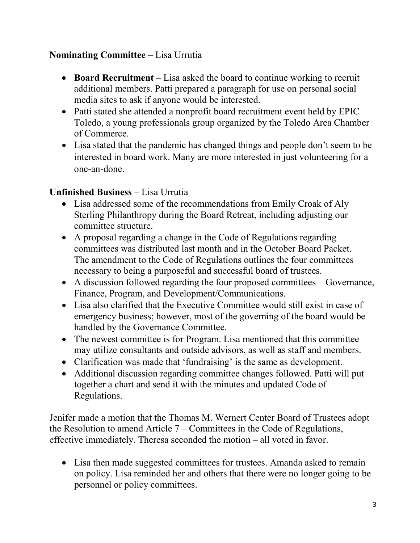## **Nominating Committee** – Lisa Urrutia

- **Board Recruitment** Lisa asked the board to continue working to recruit additional members. Patti prepared a paragraph for use on personal social media sites to ask if anyone would be interested.
- Patti stated she attended a nonprofit board recruitment event held by EPIC Toledo, a young professionals group organized by the Toledo Area Chamber of Commerce.
- Lisa stated that the pandemic has changed things and people don't seem to be interested in board work. Many are more interested in just volunteering for a one-an-done.

# **Unfinished Business** – Lisa Urrutia

- Lisa addressed some of the recommendations from Emily Croak of Aly Sterling Philanthropy during the Board Retreat, including adjusting our committee structure.
- A proposal regarding a change in the Code of Regulations regarding committees was distributed last month and in the October Board Packet. The amendment to the Code of Regulations outlines the four committees necessary to being a purposeful and successful board of trustees.
- A discussion followed regarding the four proposed committees Governance, Finance, Program, and Development/Communications.
- Lisa also clarified that the Executive Committee would still exist in case of emergency business; however, most of the governing of the board would be handled by the Governance Committee.
- The newest committee is for Program. Lisa mentioned that this committee may utilize consultants and outside advisors, as well as staff and members.
- Clarification was made that 'fundraising' is the same as development.
- Additional discussion regarding committee changes followed. Patti will put together a chart and send it with the minutes and updated Code of Regulations.

Jenifer made a motion that the Thomas M. Wernert Center Board of Trustees adopt the Resolution to amend Article 7 – Committees in the Code of Regulations, effective immediately. Theresa seconded the motion – all voted in favor.

• Lisa then made suggested committees for trustees. Amanda asked to remain on policy. Lisa reminded her and others that there were no longer going to be personnel or policy committees.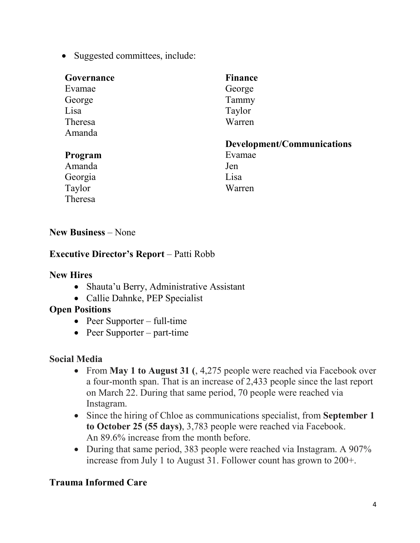• Suggested committees, include:

| Governance | <b>Finance</b>             |
|------------|----------------------------|
| Evamae     | George                     |
| George     | Tammy                      |
| Lisa       | Taylor                     |
| Theresa    | Warren                     |
| Amanda     |                            |
|            |                            |
|            | Development/Communications |
| Program    | Evamae                     |
| Amanda     | Jen                        |
| Georgia    | Lisa                       |
| Taylor     | Warren                     |

#### **New Business** – None

#### **Executive Director's Report** – Patti Robb

#### **New Hires**

- Shauta'u Berry, Administrative Assistant
- Callie Dahnke, PEP Specialist

#### **Open Positions**

- Peer Supporter full-time
- Peer Supporter part-time

## **Social Media**

- From **May 1 to August 31 (**, 4,275 people were reached via Facebook over a four-month span. That is an increase of 2,433 people since the last report on March 22. During that same period, 70 people were reached via Instagram.
- Since the hiring of Chloe as communications specialist, from **September 1 to October 25 (55 days)**, 3,783 people were reached via Facebook. An 89.6% increase from the month before.
- During that same period, 383 people were reached via Instagram. A 907% increase from July 1 to August 31. Follower count has grown to 200+.

# **Trauma Informed Care**